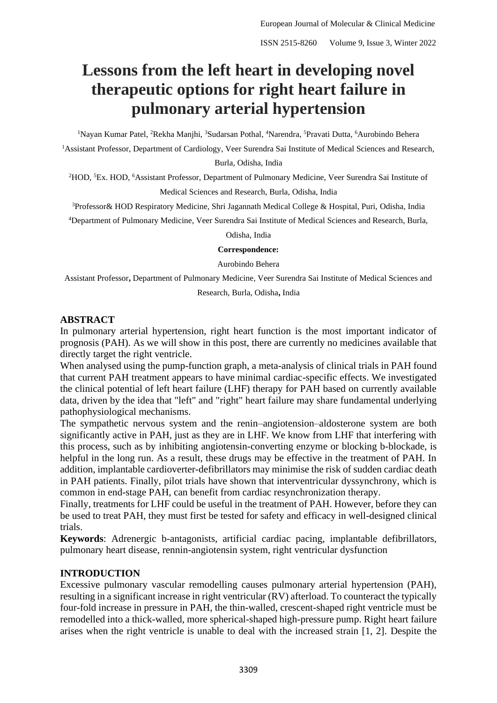# **Lessons from the left heart in developing novel therapeutic options for right heart failure in pulmonary arterial hypertension**

<sup>1</sup>Nayan Kumar Patel, <sup>2</sup>Rekha Manjhi, <sup>3</sup>Sudarsan Pothal, <sup>4</sup>Narendra, <sup>5</sup>Pravati Dutta, <sup>6</sup>Aurobindo Behera

<sup>1</sup>Assistant Professor, Department of Cardiology, Veer Surendra Sai Institute of Medical Sciences and Research,

Burla, Odisha, India

<sup>2</sup>HOD, <sup>5</sup>Ex. HOD, <sup>6</sup>Assistant Professor, Department of Pulmonary Medicine, Veer Surendra Sai Institute of Medical Sciences and Research, Burla, Odisha, India

<sup>3</sup>Professor& HOD Respiratory Medicine, Shri Jagannath Medical College & Hospital, Puri, Odisha, India

<sup>4</sup>Department of Pulmonary Medicine, Veer Surendra Sai Institute of Medical Sciences and Research, Burla,

Odisha, India

#### **Correspondence:**

Aurobindo Behera

Assistant Professor**,** Department of Pulmonary Medicine, Veer Surendra Sai Institute of Medical Sciences and Research, Burla, Odisha**,** India

#### **ABSTRACT**

In pulmonary arterial hypertension, right heart function is the most important indicator of prognosis (PAH). As we will show in this post, there are currently no medicines available that directly target the right ventricle.

When analysed using the pump-function graph, a meta-analysis of clinical trials in PAH found that current PAH treatment appears to have minimal cardiac-specific effects. We investigated the clinical potential of left heart failure (LHF) therapy for PAH based on currently available data, driven by the idea that "left" and "right" heart failure may share fundamental underlying pathophysiological mechanisms.

The sympathetic nervous system and the renin–angiotension–aldosterone system are both significantly active in PAH, just as they are in LHF. We know from LHF that interfering with this process, such as by inhibiting angiotensin-converting enzyme or blocking b-blockade, is helpful in the long run. As a result, these drugs may be effective in the treatment of PAH. In addition, implantable cardioverter-defibrillators may minimise the risk of sudden cardiac death in PAH patients. Finally, pilot trials have shown that interventricular dyssynchrony, which is common in end-stage PAH, can benefit from cardiac resynchronization therapy.

Finally, treatments for LHF could be useful in the treatment of PAH. However, before they can be used to treat PAH, they must first be tested for safety and efficacy in well-designed clinical trials.

**Keywords**: Adrenergic b-antagonists, artificial cardiac pacing, implantable defibrillators, pulmonary heart disease, rennin-angiotensin system, right ventricular dysfunction

# **INTRODUCTION**

Excessive pulmonary vascular remodelling causes pulmonary arterial hypertension (PAH), resulting in a significant increase in right ventricular (RV) afterload. To counteract the typically four-fold increase in pressure in PAH, the thin-walled, crescent-shaped right ventricle must be remodelled into a thick-walled, more spherical-shaped high-pressure pump. Right heart failure arises when the right ventricle is unable to deal with the increased strain [1, 2]. Despite the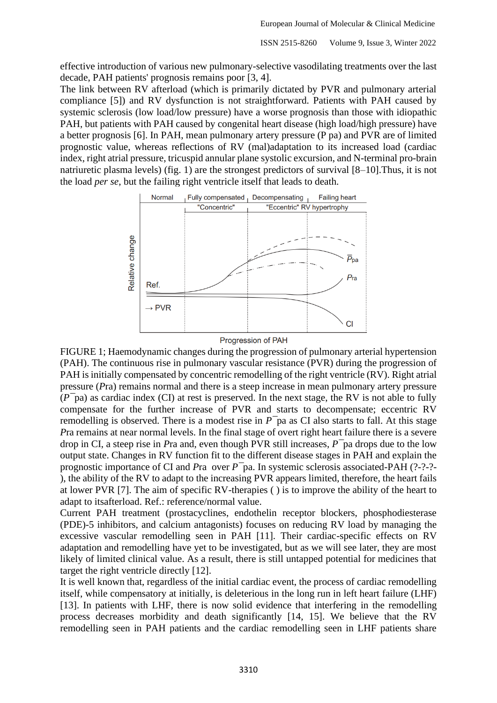effective introduction of various new pulmonary-selective vasodilating treatments over the last decade, PAH patients' prognosis remains poor [3, 4].

The link between RV afterload (which is primarily dictated by PVR and pulmonary arterial compliance [5]) and RV dysfunction is not straightforward. Patients with PAH caused by systemic sclerosis (low load/low pressure) have a worse prognosis than those with idiopathic PAH, but patients with PAH caused by congenital heart disease (high load/high pressure) have a better prognosis [6]. In PAH, mean pulmonary artery pressure (P pa) and PVR are of limited prognostic value, whereas reflections of RV (mal)adaptation to its increased load (cardiac index, right atrial pressure, tricuspid annular plane systolic excursion, and N-terminal pro-brain natriuretic plasma levels) (fig. 1) are the strongest predictors of survival [8–10].Thus, it is not the load *per se*, but the failing right ventricle itself that leads to death.



Progression of PAH

FIGURE 1; Haemodynamic changes during the progression of pulmonary arterial hypertension (PAH). The continuous rise in pulmonary vascular resistance (PVR) during the progression of PAH is initially compensated by concentric remodelling of the right ventricle (RV). Right atrial pressure (*P*ra) remains normal and there is a steep increase in mean pulmonary artery pressure (*P¯*pa) as cardiac index (CI) at rest is preserved. In the next stage, the RV is not able to fully compensate for the further increase of PVR and starts to decompensate; eccentric RV remodelling is observed. There is a modest rise in *P¯*pa as CI also starts to fall. At this stage *P*ra remains at near normal levels. In the final stage of overt right heart failure there is a severe drop in CI, a steep rise in *P*ra and, even though PVR still increases, *P¯*pa drops due to the low output state. Changes in RV function fit to the different disease stages in PAH and explain the prognostic importance of CI and *P*ra over *P¯*pa. In systemic sclerosis associated-PAH (?-?-?- ), the ability of the RV to adapt to the increasing PVR appears limited, therefore, the heart fails at lower PVR [7]. The aim of specific RV-therapies ( ) is to improve the ability of the heart to adapt to itsafterload. Ref.: reference/normal value.

Current PAH treatment (prostacyclines, endothelin receptor blockers, phosphodiesterase (PDE)-5 inhibitors, and calcium antagonists) focuses on reducing RV load by managing the excessive vascular remodelling seen in PAH [11]. Their cardiac-specific effects on RV adaptation and remodelling have yet to be investigated, but as we will see later, they are most likely of limited clinical value. As a result, there is still untapped potential for medicines that target the right ventricle directly [12].

It is well known that, regardless of the initial cardiac event, the process of cardiac remodelling itself, while compensatory at initially, is deleterious in the long run in left heart failure (LHF) [13]. In patients with LHF, there is now solid evidence that interfering in the remodelling process decreases morbidity and death significantly [14, 15]. We believe that the RV remodelling seen in PAH patients and the cardiac remodelling seen in LHF patients share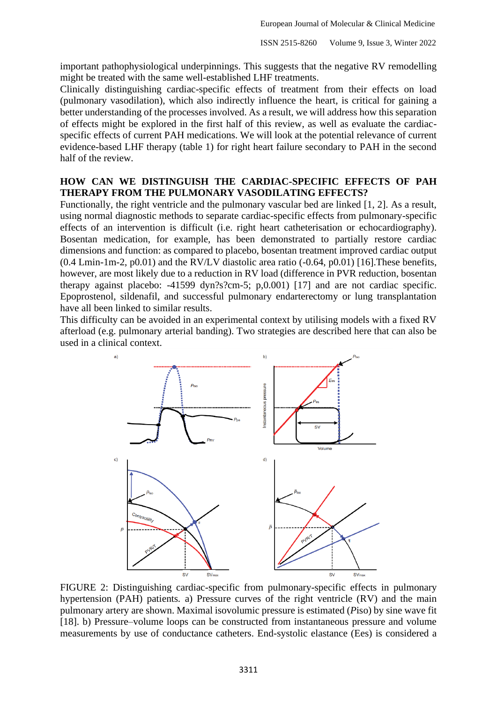important pathophysiological underpinnings. This suggests that the negative RV remodelling might be treated with the same well-established LHF treatments.

Clinically distinguishing cardiac-specific effects of treatment from their effects on load (pulmonary vasodilation), which also indirectly influence the heart, is critical for gaining a better understanding of the processes involved. As a result, we will address how this separation of effects might be explored in the first half of this review, as well as evaluate the cardiacspecific effects of current PAH medications. We will look at the potential relevance of current evidence-based LHF therapy (table 1) for right heart failure secondary to PAH in the second half of the review.

### **HOW CAN WE DISTINGUISH THE CARDIAC-SPECIFIC EFFECTS OF PAH THERAPY FROM THE PULMONARY VASODILATING EFFECTS?**

Functionally, the right ventricle and the pulmonary vascular bed are linked [1, 2]. As a result, using normal diagnostic methods to separate cardiac-specific effects from pulmonary-specific effects of an intervention is difficult (i.e. right heart catheterisation or echocardiography). Bosentan medication, for example, has been demonstrated to partially restore cardiac dimensions and function: as compared to placebo, bosentan treatment improved cardiac output  $(0.4 \text{ Lmin-1m-2, p0.01})$  and the RV/LV diastolic area ratio  $(-0.64, p0.01)$  [16]. These benefits, however, are most likely due to a reduction in RV load (difference in PVR reduction, bosentan therapy against placebo: -41599 dyn?s?cm-5; p,0.001) [17] and are not cardiac specific. Epoprostenol, sildenafil, and successful pulmonary endarterectomy or lung transplantation have all been linked to similar results.

This difficulty can be avoided in an experimental context by utilising models with a fixed RV afterload (e.g. pulmonary arterial banding). Two strategies are described here that can also be used in a clinical context.



FIGURE 2: Distinguishing cardiac-specific from pulmonary-specific effects in pulmonary hypertension (PAH) patients*.* a) Pressure curves of the right ventricle (RV) and the main pulmonary artery are shown. Maximal isovolumic pressure is estimated (*P*iso) by sine wave fit [18]. b) Pressure–volume loops can be constructed from instantaneous pressure and volume measurements by use of conductance catheters. End-systolic elastance (Ees) is considered a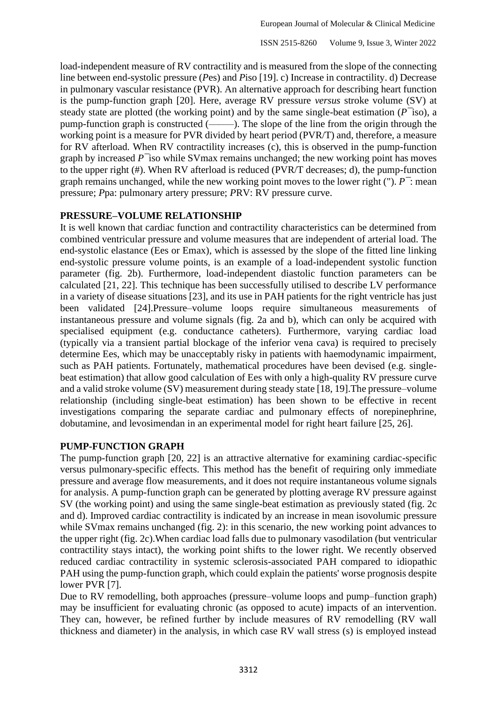load-independent measure of RV contractility and is measured from the slope of the connecting line between end-systolic pressure (*P*es) and *P*iso [19]. c) Increase in contractility. d) Decrease in pulmonary vascular resistance (PVR). An alternative approach for describing heart function is the pump-function graph [20]. Here, average RV pressure *versus* stroke volume (SV) at steady state are plotted (the working point) and by the same single-beat estimation (*P¯*iso), a pump-function graph is constructed (–––––). The slope of the line from the origin through the working point is a measure for PVR divided by heart period (PVR/T) and, therefore, a measure for RV afterload. When RV contractility increases (c), this is observed in the pump-function graph by increased *P¯*iso while SVmax remains unchanged; the new working point has moves to the upper right (#). When RV afterload is reduced (PVR/T decreases; d), the pump-function graph remains unchanged, while the new working point moves to the lower right ("). *P¯*: mean pressure; *P*pa: pulmonary artery pressure; *P*RV: RV pressure curve.

## **PRESSURE–VOLUME RELATIONSHIP**

It is well known that cardiac function and contractility characteristics can be determined from combined ventricular pressure and volume measures that are independent of arterial load. The end-systolic elastance (Ees or Emax), which is assessed by the slope of the fitted line linking end-systolic pressure volume points, is an example of a load-independent systolic function parameter (fig. 2b). Furthermore, load-independent diastolic function parameters can be calculated [21, 22]. This technique has been successfully utilised to describe LV performance in a variety of disease situations [23], and its use in PAH patients for the right ventricle has just been validated [24].Pressure–volume loops require simultaneous measurements of instantaneous pressure and volume signals (fig. 2a and b), which can only be acquired with specialised equipment (e.g. conductance catheters). Furthermore, varying cardiac load (typically via a transient partial blockage of the inferior vena cava) is required to precisely determine Ees, which may be unacceptably risky in patients with haemodynamic impairment, such as PAH patients. Fortunately, mathematical procedures have been devised (e.g. singlebeat estimation) that allow good calculation of Ees with only a high-quality RV pressure curve and a valid stroke volume (SV) measurement during steady state [18, 19].The pressure–volume relationship (including single-beat estimation) has been shown to be effective in recent investigations comparing the separate cardiac and pulmonary effects of norepinephrine, dobutamine, and levosimendan in an experimental model for right heart failure [25, 26].

# **PUMP-FUNCTION GRAPH**

The pump-function graph [20, 22] is an attractive alternative for examining cardiac-specific versus pulmonary-specific effects. This method has the benefit of requiring only immediate pressure and average flow measurements, and it does not require instantaneous volume signals for analysis. A pump-function graph can be generated by plotting average RV pressure against SV (the working point) and using the same single-beat estimation as previously stated (fig. 2c and d). Improved cardiac contractility is indicated by an increase in mean isovolumic pressure while SV max remains unchanged (fig. 2): in this scenario, the new working point advances to the upper right (fig. 2c).When cardiac load falls due to pulmonary vasodilation (but ventricular contractility stays intact), the working point shifts to the lower right. We recently observed reduced cardiac contractility in systemic sclerosis-associated PAH compared to idiopathic PAH using the pump-function graph, which could explain the patients' worse prognosis despite lower PVR [7].

Due to RV remodelling, both approaches (pressure–volume loops and pump–function graph) may be insufficient for evaluating chronic (as opposed to acute) impacts of an intervention. They can, however, be refined further by include measures of RV remodelling (RV wall thickness and diameter) in the analysis, in which case RV wall stress (s) is employed instead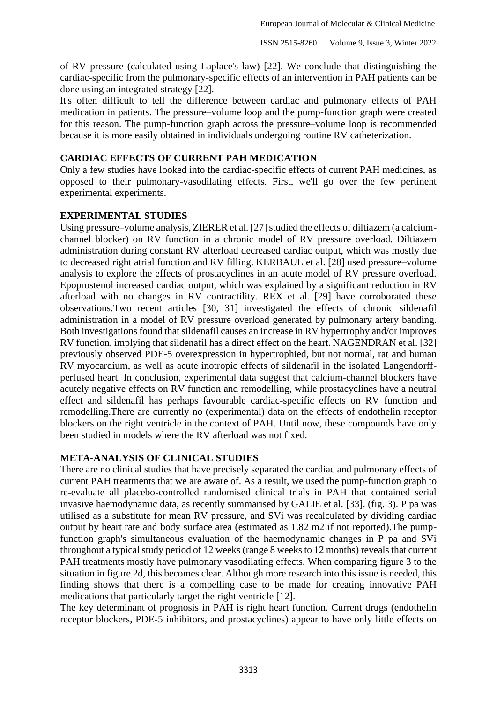of RV pressure (calculated using Laplace's law) [22]. We conclude that distinguishing the cardiac-specific from the pulmonary-specific effects of an intervention in PAH patients can be done using an integrated strategy [22].

It's often difficult to tell the difference between cardiac and pulmonary effects of PAH medication in patients. The pressure–volume loop and the pump-function graph were created for this reason. The pump-function graph across the pressure–volume loop is recommended because it is more easily obtained in individuals undergoing routine RV catheterization.

## **CARDIAC EFFECTS OF CURRENT PAH MEDICATION**

Only a few studies have looked into the cardiac-specific effects of current PAH medicines, as opposed to their pulmonary-vasodilating effects. First, we'll go over the few pertinent experimental experiments.

## **EXPERIMENTAL STUDIES**

Using pressure–volume analysis, ZIERER et al. [27] studied the effects of diltiazem (a calciumchannel blocker) on RV function in a chronic model of RV pressure overload. Diltiazem administration during constant RV afterload decreased cardiac output, which was mostly due to decreased right atrial function and RV filling. KERBAUL et al. [28] used pressure–volume analysis to explore the effects of prostacyclines in an acute model of RV pressure overload. Epoprostenol increased cardiac output, which was explained by a significant reduction in RV afterload with no changes in RV contractility. REX et al. [29] have corroborated these observations.Two recent articles [30, 31] investigated the effects of chronic sildenafil administration in a model of RV pressure overload generated by pulmonary artery banding. Both investigations found that sildenafil causes an increase in RV hypertrophy and/or improves RV function, implying that sildenafil has a direct effect on the heart. NAGENDRAN et al. [32] previously observed PDE-5 overexpression in hypertrophied, but not normal, rat and human RV myocardium, as well as acute inotropic effects of sildenafil in the isolated Langendorffperfused heart. In conclusion, experimental data suggest that calcium-channel blockers have acutely negative effects on RV function and remodelling, while prostacyclines have a neutral effect and sildenafil has perhaps favourable cardiac-specific effects on RV function and remodelling.There are currently no (experimental) data on the effects of endothelin receptor blockers on the right ventricle in the context of PAH. Until now, these compounds have only been studied in models where the RV afterload was not fixed.

#### **META-ANALYSIS OF CLINICAL STUDIES**

There are no clinical studies that have precisely separated the cardiac and pulmonary effects of current PAH treatments that we are aware of. As a result, we used the pump-function graph to re-evaluate all placebo-controlled randomised clinical trials in PAH that contained serial invasive haemodynamic data, as recently summarised by GALIE et al. [33]. (fig. 3). P pa was utilised as a substitute for mean RV pressure, and SVi was recalculated by dividing cardiac output by heart rate and body surface area (estimated as 1.82 m2 if not reported).The pumpfunction graph's simultaneous evaluation of the haemodynamic changes in P pa and SVi throughout a typical study period of 12 weeks (range 8 weeks to 12 months) reveals that current PAH treatments mostly have pulmonary vasodilating effects. When comparing figure 3 to the situation in figure 2d, this becomes clear. Although more research into this issue is needed, this finding shows that there is a compelling case to be made for creating innovative PAH medications that particularly target the right ventricle [12].

The key determinant of prognosis in PAH is right heart function. Current drugs (endothelin receptor blockers, PDE-5 inhibitors, and prostacyclines) appear to have only little effects on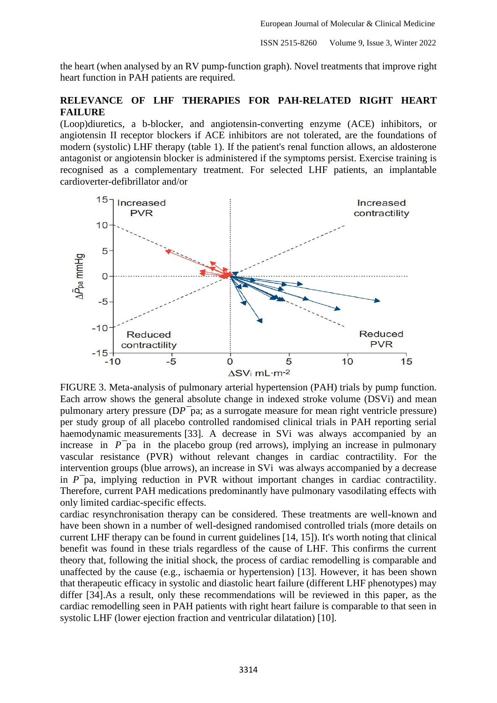the heart (when analysed by an RV pump-function graph). Novel treatments that improve right heart function in PAH patients are required.

## **RELEVANCE OF LHF THERAPIES FOR PAH-RELATED RIGHT HEART FAILURE**

(Loop)diuretics, a b-blocker, and angiotensin-converting enzyme (ACE) inhibitors, or angiotensin II receptor blockers if ACE inhibitors are not tolerated, are the foundations of modern (systolic) LHF therapy (table 1). If the patient's renal function allows, an aldosterone antagonist or angiotensin blocker is administered if the symptoms persist. Exercise training is recognised as a complementary treatment. For selected LHF patients, an implantable cardioverter-defibrillator and/or



FIGURE 3. Meta-analysis of pulmonary arterial hypertension (PAH) trials by pump function*.*  Each arrow shows the general absolute change in indexed stroke volume (DSVi) and mean pulmonary artery pressure (D*P¯*pa; as a surrogate measure for mean right ventricle pressure) per study group of all placebo controlled randomised clinical trials in PAH reporting serial haemodynamic measurements [33]. A decrease in SVi was always accompanied by an increase in  $P<sup>−</sup>$ pa in the placebo group (red arrows), implying an increase in pulmonary vascular resistance (PVR) without relevant changes in cardiac contractility. For the intervention groups (blue arrows), an increase in SVi was always accompanied by a decrease in *P¯*pa, implying reduction in PVR without important changes in cardiac contractility. Therefore, current PAH medications predominantly have pulmonary vasodilating effects with only limited cardiac-specific effects.

cardiac resynchronisation therapy can be considered. These treatments are well-known and have been shown in a number of well-designed randomised controlled trials (more details on current LHF therapy can be found in current guidelines [14, 15]). It's worth noting that clinical benefit was found in these trials regardless of the cause of LHF. This confirms the current theory that, following the initial shock, the process of cardiac remodelling is comparable and unaffected by the cause (e.g., ischaemia or hypertension) [13]. However, it has been shown that therapeutic efficacy in systolic and diastolic heart failure (different LHF phenotypes) may differ [34].As a result, only these recommendations will be reviewed in this paper, as the cardiac remodelling seen in PAH patients with right heart failure is comparable to that seen in systolic LHF (lower ejection fraction and ventricular dilatation) [10].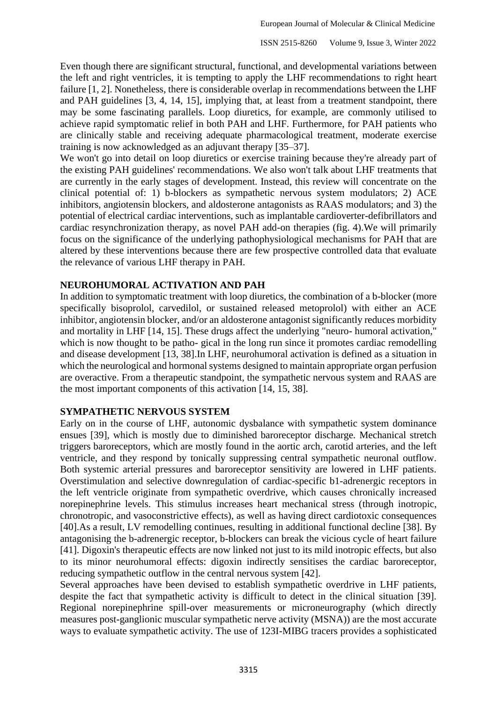Even though there are significant structural, functional, and developmental variations between the left and right ventricles, it is tempting to apply the LHF recommendations to right heart failure [1, 2]. Nonetheless, there is considerable overlap in recommendations between the LHF and PAH guidelines [3, 4, 14, 15], implying that, at least from a treatment standpoint, there may be some fascinating parallels. Loop diuretics, for example, are commonly utilised to achieve rapid symptomatic relief in both PAH and LHF. Furthermore, for PAH patients who are clinically stable and receiving adequate pharmacological treatment, moderate exercise training is now acknowledged as an adjuvant therapy [35–37].

We won't go into detail on loop diuretics or exercise training because they're already part of the existing PAH guidelines' recommendations. We also won't talk about LHF treatments that are currently in the early stages of development. Instead, this review will concentrate on the clinical potential of: 1) b-blockers as sympathetic nervous system modulators; 2) ACE inhibitors, angiotensin blockers, and aldosterone antagonists as RAAS modulators; and 3) the potential of electrical cardiac interventions, such as implantable cardioverter-defibrillators and cardiac resynchronization therapy, as novel PAH add-on therapies (fig. 4).We will primarily focus on the significance of the underlying pathophysiological mechanisms for PAH that are altered by these interventions because there are few prospective controlled data that evaluate the relevance of various LHF therapy in PAH.

## **NEUROHUMORAL ACTIVATION AND PAH**

In addition to symptomatic treatment with loop diuretics, the combination of a b-blocker (more specifically bisoprolol, carvedilol, or sustained released metoprolol) with either an ACE inhibitor, angiotensin blocker, and/or an aldosterone antagonist significantly reduces morbidity and mortality in LHF [14, 15]. These drugs affect the underlying "neuro- humoral activation," which is now thought to be patho- gical in the long run since it promotes cardiac remodelling and disease development [13, 38].In LHF, neurohumoral activation is defined as a situation in which the neurological and hormonal systems designed to maintain appropriate organ perfusion are overactive. From a therapeutic standpoint, the sympathetic nervous system and RAAS are the most important components of this activation [14, 15, 38].

#### **SYMPATHETIC NERVOUS SYSTEM**

Early on in the course of LHF, autonomic dysbalance with sympathetic system dominance ensues [39], which is mostly due to diminished baroreceptor discharge. Mechanical stretch triggers baroreceptors, which are mostly found in the aortic arch, carotid arteries, and the left ventricle, and they respond by tonically suppressing central sympathetic neuronal outflow. Both systemic arterial pressures and baroreceptor sensitivity are lowered in LHF patients. Overstimulation and selective downregulation of cardiac-specific b1-adrenergic receptors in the left ventricle originate from sympathetic overdrive, which causes chronically increased norepinephrine levels. This stimulus increases heart mechanical stress (through inotropic, chronotropic, and vasoconstrictive effects), as well as having direct cardiotoxic consequences [40].As a result, LV remodelling continues, resulting in additional functional decline [38]. By antagonising the b-adrenergic receptor, b-blockers can break the vicious cycle of heart failure [41]. Digoxin's therapeutic effects are now linked not just to its mild inotropic effects, but also to its minor neurohumoral effects: digoxin indirectly sensitises the cardiac baroreceptor, reducing sympathetic outflow in the central nervous system [42].

Several approaches have been devised to establish sympathetic overdrive in LHF patients, despite the fact that sympathetic activity is difficult to detect in the clinical situation [39]. Regional norepinephrine spill-over measurements or microneurography (which directly measures post-ganglionic muscular sympathetic nerve activity (MSNA)) are the most accurate ways to evaluate sympathetic activity. The use of 123I-MIBG tracers provides a sophisticated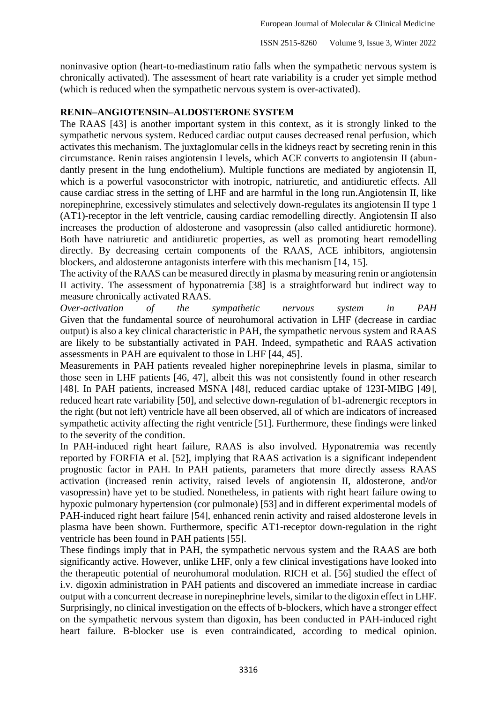noninvasive option (heart-to-mediastinum ratio falls when the sympathetic nervous system is chronically activated). The assessment of heart rate variability is a cruder yet simple method (which is reduced when the sympathetic nervous system is over-activated).

#### **RENIN–ANGIOTENSIN–ALDOSTERONE SYSTEM**

The RAAS [43] is another important system in this context, as it is strongly linked to the sympathetic nervous system. Reduced cardiac output causes decreased renal perfusion, which activates this mechanism. The juxtaglomular cells in the kidneys react by secreting renin in this circumstance. Renin raises angiotensin I levels, which ACE converts to angiotensin II (abundantly present in the lung endothelium). Multiple functions are mediated by angiotensin II, which is a powerful vasoconstrictor with inotropic, natriuretic, and antidiuretic effects. All cause cardiac stress in the setting of LHF and are harmful in the long run.Angiotensin II, like norepinephrine, excessively stimulates and selectively down-regulates its angiotensin II type 1 (AT1)-receptor in the left ventricle, causing cardiac remodelling directly. Angiotensin II also increases the production of aldosterone and vasopressin (also called antidiuretic hormone). Both have natriuretic and antidiuretic properties, as well as promoting heart remodelling directly. By decreasing certain components of the RAAS, ACE inhibitors, angiotensin blockers, and aldosterone antagonists interfere with this mechanism [14, 15].

The activity of the RAAS can be measured directly in plasma by measuring renin or angiotensin II activity. The assessment of hyponatremia [38] is a straightforward but indirect way to measure chronically activated RAAS.

*Over-activation of the sympathetic nervous system in PAH*  Given that the fundamental source of neurohumoral activation in LHF (decrease in cardiac output) is also a key clinical characteristic in PAH, the sympathetic nervous system and RAAS are likely to be substantially activated in PAH. Indeed, sympathetic and RAAS activation assessments in PAH are equivalent to those in LHF [44, 45].

Measurements in PAH patients revealed higher norepinephrine levels in plasma, similar to those seen in LHF patients [46, 47], albeit this was not consistently found in other research [48]. In PAH patients, increased MSNA [48], reduced cardiac uptake of 123I-MIBG [49], reduced heart rate variability [50], and selective down-regulation of b1-adrenergic receptors in the right (but not left) ventricle have all been observed, all of which are indicators of increased sympathetic activity affecting the right ventricle [51]. Furthermore, these findings were linked to the severity of the condition.

In PAH-induced right heart failure, RAAS is also involved. Hyponatremia was recently reported by FORFIA et al. [52], implying that RAAS activation is a significant independent prognostic factor in PAH. In PAH patients, parameters that more directly assess RAAS activation (increased renin activity, raised levels of angiotensin II, aldosterone, and/or vasopressin) have yet to be studied. Nonetheless, in patients with right heart failure owing to hypoxic pulmonary hypertension (cor pulmonale) [53] and in different experimental models of PAH-induced right heart failure [54], enhanced renin activity and raised aldosterone levels in plasma have been shown. Furthermore, specific AT1-receptor down-regulation in the right ventricle has been found in PAH patients [55].

These findings imply that in PAH, the sympathetic nervous system and the RAAS are both significantly active. However, unlike LHF, only a few clinical investigations have looked into the therapeutic potential of neurohumoral modulation. RICH et al. [56] studied the effect of i.v. digoxin administration in PAH patients and discovered an immediate increase in cardiac output with a concurrent decrease in norepinephrine levels, similar to the digoxin effect in LHF. Surprisingly, no clinical investigation on the effects of b-blockers, which have a stronger effect on the sympathetic nervous system than digoxin, has been conducted in PAH-induced right heart failure. B-blocker use is even contraindicated, according to medical opinion.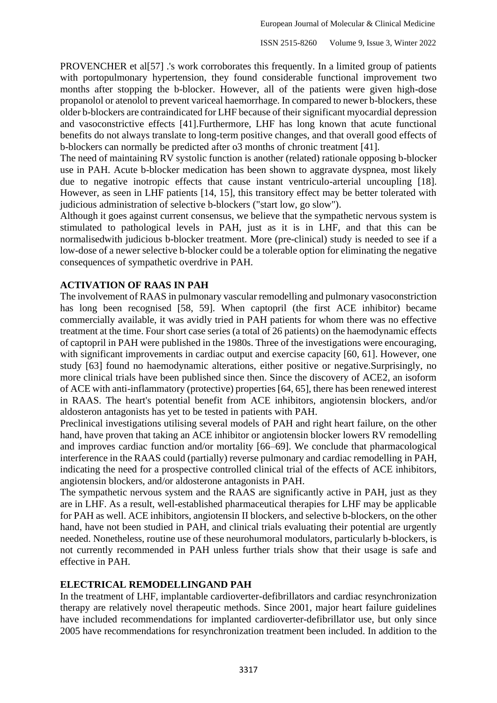PROVENCHER et al[57] .'s work corroborates this frequently. In a limited group of patients with portopulmonary hypertension, they found considerable functional improvement two months after stopping the b-blocker. However, all of the patients were given high-dose propanolol or atenolol to prevent variceal haemorrhage. In compared to newer b-blockers, these older b-blockers are contraindicated for LHF because of their significant myocardial depression and vasoconstrictive effects [41].Furthermore, LHF has long known that acute functional benefits do not always translate to long-term positive changes, and that overall good effects of b-blockers can normally be predicted after o3 months of chronic treatment [41].

The need of maintaining RV systolic function is another (related) rationale opposing b-blocker use in PAH. Acute b-blocker medication has been shown to aggravate dyspnea, most likely due to negative inotropic effects that cause instant ventriculo-arterial uncoupling [18]. However, as seen in LHF patients [14, 15], this transitory effect may be better tolerated with judicious administration of selective b-blockers ("start low, go slow").

Although it goes against current consensus, we believe that the sympathetic nervous system is stimulated to pathological levels in PAH, just as it is in LHF, and that this can be normalisedwith judicious b-blocker treatment. More (pre-clinical) study is needed to see if a low-dose of a newer selective b-blocker could be a tolerable option for eliminating the negative consequences of sympathetic overdrive in PAH.

## **ACTIVATION OF RAAS IN PAH**

The involvement of RAAS in pulmonary vascular remodelling and pulmonary vasoconstriction has long been recognised [58, 59]. When captopril (the first ACE inhibitor) became commercially available, it was avidly tried in PAH patients for whom there was no effective treatment at the time. Four short case series (a total of 26 patients) on the haemodynamic effects of captopril in PAH were published in the 1980s. Three of the investigations were encouraging, with significant improvements in cardiac output and exercise capacity [60, 61]. However, one study [63] found no haemodynamic alterations, either positive or negative.Surprisingly, no more clinical trials have been published since then. Since the discovery of ACE2, an isoform of ACE with anti-inflammatory (protective) properties [64, 65], there has been renewed interest in RAAS. The heart's potential benefit from ACE inhibitors, angiotensin blockers, and/or aldosteron antagonists has yet to be tested in patients with PAH.

Preclinical investigations utilising several models of PAH and right heart failure, on the other hand, have proven that taking an ACE inhibitor or angiotensin blocker lowers RV remodelling and improves cardiac function and/or mortality [66–69]. We conclude that pharmacological interference in the RAAS could (partially) reverse pulmonary and cardiac remodelling in PAH, indicating the need for a prospective controlled clinical trial of the effects of ACE inhibitors, angiotensin blockers, and/or aldosterone antagonists in PAH.

The sympathetic nervous system and the RAAS are significantly active in PAH, just as they are in LHF. As a result, well-established pharmaceutical therapies for LHF may be applicable for PAH as well. ACE inhibitors, angiotensin II blockers, and selective b-blockers, on the other hand, have not been studied in PAH, and clinical trials evaluating their potential are urgently needed. Nonetheless, routine use of these neurohumoral modulators, particularly b-blockers, is not currently recommended in PAH unless further trials show that their usage is safe and effective in PAH.

#### **ELECTRICAL REMODELLINGAND PAH**

In the treatment of LHF, implantable cardioverter-defibrillators and cardiac resynchronization therapy are relatively novel therapeutic methods. Since 2001, major heart failure guidelines have included recommendations for implanted cardioverter-defibrillator use, but only since 2005 have recommendations for resynchronization treatment been included. In addition to the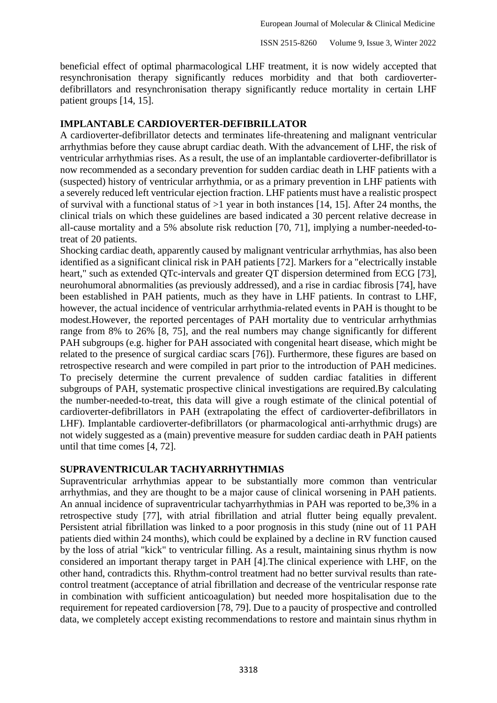beneficial effect of optimal pharmacological LHF treatment, it is now widely accepted that resynchronisation therapy significantly reduces morbidity and that both cardioverterdefibrillators and resynchronisation therapy significantly reduce mortality in certain LHF patient groups [14, 15].

#### **IMPLANTABLE CARDIOVERTER-DEFIBRILLATOR**

A cardioverter-defibrillator detects and terminates life-threatening and malignant ventricular arrhythmias before they cause abrupt cardiac death. With the advancement of LHF, the risk of ventricular arrhythmias rises. As a result, the use of an implantable cardioverter-defibrillator is now recommended as a secondary prevention for sudden cardiac death in LHF patients with a (suspected) history of ventricular arrhythmia, or as a primary prevention in LHF patients with a severely reduced left ventricular ejection fraction. LHF patients must have a realistic prospect of survival with a functional status of  $>1$  year in both instances [14, 15]. After 24 months, the clinical trials on which these guidelines are based indicated a 30 percent relative decrease in all-cause mortality and a 5% absolute risk reduction [70, 71], implying a number-needed-totreat of 20 patients.

Shocking cardiac death, apparently caused by malignant ventricular arrhythmias, has also been identified as a significant clinical risk in PAH patients [72]. Markers for a "electrically instable heart," such as extended QTc-intervals and greater QT dispersion determined from ECG [73], neurohumoral abnormalities (as previously addressed), and a rise in cardiac fibrosis [74], have been established in PAH patients, much as they have in LHF patients. In contrast to LHF, however, the actual incidence of ventricular arrhythmia-related events in PAH is thought to be modest.However, the reported percentages of PAH mortality due to ventricular arrhythmias range from 8% to 26% [8, 75], and the real numbers may change significantly for different PAH subgroups (e.g. higher for PAH associated with congenital heart disease, which might be related to the presence of surgical cardiac scars [76]). Furthermore, these figures are based on retrospective research and were compiled in part prior to the introduction of PAH medicines. To precisely determine the current prevalence of sudden cardiac fatalities in different subgroups of PAH, systematic prospective clinical investigations are required.By calculating the number-needed-to-treat, this data will give a rough estimate of the clinical potential of cardioverter-defibrillators in PAH (extrapolating the effect of cardioverter-defibrillators in LHF). Implantable cardioverter-defibrillators (or pharmacological anti-arrhythmic drugs) are not widely suggested as a (main) preventive measure for sudden cardiac death in PAH patients until that time comes [4, 72].

# **SUPRAVENTRICULAR TACHYARRHYTHMIAS**

Supraventricular arrhythmias appear to be substantially more common than ventricular arrhythmias, and they are thought to be a major cause of clinical worsening in PAH patients. An annual incidence of supraventricular tachyarrhythmias in PAH was reported to be,3% in a retrospective study [77], with atrial fibrillation and atrial flutter being equally prevalent. Persistent atrial fibrillation was linked to a poor prognosis in this study (nine out of 11 PAH patients died within 24 months), which could be explained by a decline in RV function caused by the loss of atrial "kick" to ventricular filling. As a result, maintaining sinus rhythm is now considered an important therapy target in PAH [4].The clinical experience with LHF, on the other hand, contradicts this. Rhythm-control treatment had no better survival results than ratecontrol treatment (acceptance of atrial fibrillation and decrease of the ventricular response rate in combination with sufficient anticoagulation) but needed more hospitalisation due to the requirement for repeated cardioversion [78, 79]. Due to a paucity of prospective and controlled data, we completely accept existing recommendations to restore and maintain sinus rhythm in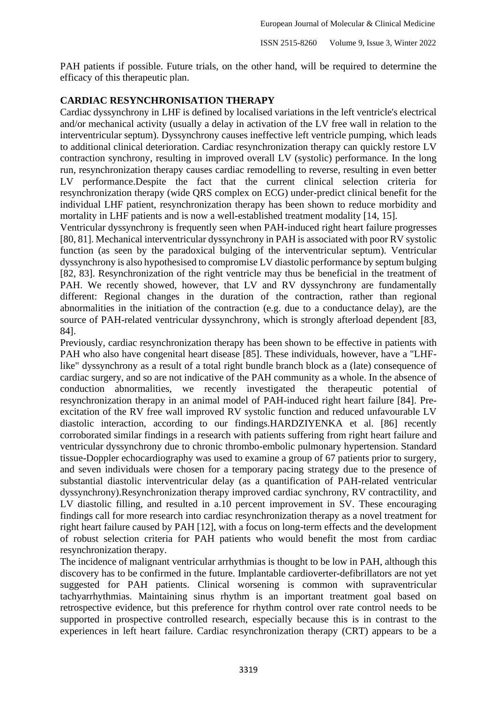PAH patients if possible. Future trials, on the other hand, will be required to determine the efficacy of this therapeutic plan.

# **CARDIAC RESYNCHRONISATION THERAPY**

Cardiac dyssynchrony in LHF is defined by localised variations in the left ventricle's electrical and/or mechanical activity (usually a delay in activation of the LV free wall in relation to the interventricular septum). Dyssynchrony causes ineffective left ventricle pumping, which leads to additional clinical deterioration. Cardiac resynchronization therapy can quickly restore LV contraction synchrony, resulting in improved overall LV (systolic) performance. In the long run, resynchronization therapy causes cardiac remodelling to reverse, resulting in even better LV performance.Despite the fact that the current clinical selection criteria for resynchronization therapy (wide QRS complex on ECG) under-predict clinical benefit for the individual LHF patient, resynchronization therapy has been shown to reduce morbidity and mortality in LHF patients and is now a well-established treatment modality [14, 15].

Ventricular dyssynchrony is frequently seen when PAH-induced right heart failure progresses [80, 81]. Mechanical interventricular dyssynchrony in PAH is associated with poor RV systolic function (as seen by the paradoxical bulging of the interventricular septum). Ventricular dyssynchrony is also hypothesised to compromise LV diastolic performance by septum bulging [82, 83]. Resynchronization of the right ventricle may thus be beneficial in the treatment of PAH. We recently showed, however, that LV and RV dyssynchrony are fundamentally different: Regional changes in the duration of the contraction, rather than regional abnormalities in the initiation of the contraction (e.g. due to a conductance delay), are the source of PAH-related ventricular dyssynchrony, which is strongly afterload dependent [83, 84].

Previously, cardiac resynchronization therapy has been shown to be effective in patients with PAH who also have congenital heart disease [85]. These individuals, however, have a "LHFlike" dyssynchrony as a result of a total right bundle branch block as a (late) consequence of cardiac surgery, and so are not indicative of the PAH community as a whole. In the absence of conduction abnormalities, we recently investigated the therapeutic potential of resynchronization therapy in an animal model of PAH-induced right heart failure [84]. Preexcitation of the RV free wall improved RV systolic function and reduced unfavourable LV diastolic interaction, according to our findings.HARDZIYENKA et al. [86] recently corroborated similar findings in a research with patients suffering from right heart failure and ventricular dyssynchrony due to chronic thrombo-embolic pulmonary hypertension. Standard tissue-Doppler echocardiography was used to examine a group of 67 patients prior to surgery, and seven individuals were chosen for a temporary pacing strategy due to the presence of substantial diastolic interventricular delay (as a quantification of PAH-related ventricular dyssynchrony).Resynchronization therapy improved cardiac synchrony, RV contractility, and LV diastolic filling, and resulted in a.10 percent improvement in SV. These encouraging findings call for more research into cardiac resynchronization therapy as a novel treatment for right heart failure caused by PAH [12], with a focus on long-term effects and the development of robust selection criteria for PAH patients who would benefit the most from cardiac resynchronization therapy.

The incidence of malignant ventricular arrhythmias is thought to be low in PAH, although this discovery has to be confirmed in the future. Implantable cardioverter-defibrillators are not yet suggested for PAH patients. Clinical worsening is common with supraventricular tachyarrhythmias. Maintaining sinus rhythm is an important treatment goal based on retrospective evidence, but this preference for rhythm control over rate control needs to be supported in prospective controlled research, especially because this is in contrast to the experiences in left heart failure. Cardiac resynchronization therapy (CRT) appears to be a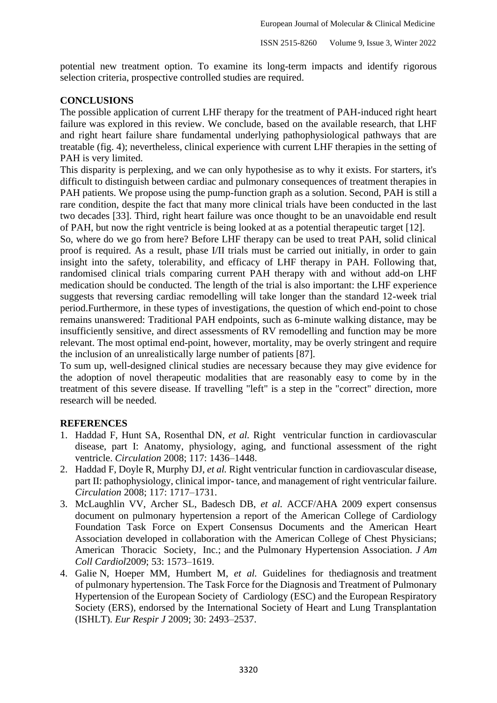potential new treatment option. To examine its long-term impacts and identify rigorous selection criteria, prospective controlled studies are required.

## **CONCLUSIONS**

The possible application of current LHF therapy for the treatment of PAH-induced right heart failure was explored in this review. We conclude, based on the available research, that LHF and right heart failure share fundamental underlying pathophysiological pathways that are treatable (fig. 4); nevertheless, clinical experience with current LHF therapies in the setting of PAH is very limited.

This disparity is perplexing, and we can only hypothesise as to why it exists. For starters, it's difficult to distinguish between cardiac and pulmonary consequences of treatment therapies in PAH patients. We propose using the pump-function graph as a solution. Second, PAH is still a rare condition, despite the fact that many more clinical trials have been conducted in the last two decades [33]. Third, right heart failure was once thought to be an unavoidable end result of PAH, but now the right ventricle is being looked at as a potential therapeutic target [12].

So, where do we go from here? Before LHF therapy can be used to treat PAH, solid clinical proof is required. As a result, phase I/II trials must be carried out initially, in order to gain insight into the safety, tolerability, and efficacy of LHF therapy in PAH. Following that, randomised clinical trials comparing current PAH therapy with and without add-on LHF medication should be conducted. The length of the trial is also important: the LHF experience suggests that reversing cardiac remodelling will take longer than the standard 12-week trial period.Furthermore, in these types of investigations, the question of which end-point to chose remains unanswered: Traditional PAH endpoints, such as 6-minute walking distance, may be insufficiently sensitive, and direct assessments of RV remodelling and function may be more relevant. The most optimal end-point, however, mortality, may be overly stringent and require the inclusion of an unrealistically large number of patients [87].

To sum up, well-designed clinical studies are necessary because they may give evidence for the adoption of novel therapeutic modalities that are reasonably easy to come by in the treatment of this severe disease. If travelling "left" is a step in the "correct" direction, more research will be needed.

#### **REFERENCES**

- 1. Haddad F, Hunt SA, Rosenthal DN, *et al.* Right ventricular function in cardiovascular disease, part I: Anatomy, physiology, aging, and functional assessment of the right ventricle. *Circulation* 2008; 117: 1436–1448.
- 2. Haddad F, Doyle R, Murphy DJ, *et al.* Right ventricular function in cardiovascular disease, part II: pathophysiology, clinical impor- tance, and management of right ventricular failure. *Circulation* 2008; 117: 1717–1731.
- 3. McLaughlin VV, Archer SL, Badesch DB, *et al.* ACCF/AHA 2009 expert consensus document on pulmonary hypertension a report of the American College of Cardiology Foundation Task Force on Expert Consensus Documents and the American Heart Association developed in collaboration with the American College of Chest Physicians; American Thoracic Society, Inc.; and the Pulmonary Hypertension Association. *J Am Coll Cardiol*2009; 53: 1573–1619.
- 4. Galie N, Hoeper MM, Humbert M, *et al.* Guidelines for thediagnosis and treatment of pulmonary hypertension. The Task Force for the Diagnosis and Treatment of Pulmonary Hypertension of the European Society of Cardiology (ESC) and the European Respiratory Society (ERS), endorsed by the International Society of Heart and Lung Transplantation (ISHLT). *Eur Respir J* 2009; 30: 2493–2537.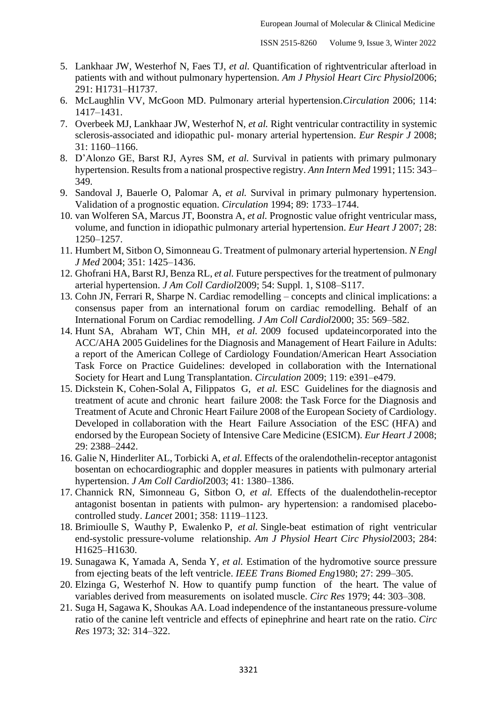- 5. Lankhaar JW, Westerhof N, Faes TJ, *et al.* Quantification of rightventricular afterload in patients with and without pulmonary hypertension. *Am J Physiol Heart Circ Physiol*2006; 291: H1731–H1737.
- 6. McLaughlin VV, McGoon MD. Pulmonary arterial hypertension.*Circulation* 2006; 114: 1417–1431.
- 7. Overbeek MJ, Lankhaar JW, Westerhof N, *et al.* Right ventricular contractility in systemic sclerosis-associated and idiopathic pul- monary arterial hypertension. *Eur Respir J* 2008; 31: 1160–1166.
- 8. D'Alonzo GE, Barst RJ, Ayres SM, *et al.* Survival in patients with primary pulmonary hypertension. Results from a national prospective registry. *Ann Intern Med* 1991; 115: 343– 349.
- 9. Sandoval J, Bauerle O, Palomar A, *et al.* Survival in primary pulmonary hypertension. Validation of a prognostic equation. *Circulation* 1994; 89: 1733–1744.
- 10. van Wolferen SA, Marcus JT, Boonstra A, *et al.* Prognostic value ofright ventricular mass, volume, and function in idiopathic pulmonary arterial hypertension. *Eur Heart J* 2007; 28: 1250–1257.
- 11. Humbert M, Sitbon O, Simonneau G. Treatment of pulmonary arterial hypertension. *N Engl J Med* 2004; 351: 1425–1436.
- 12. Ghofrani HA, Barst RJ, Benza RL, *et al.* Future perspectives for the treatment of pulmonary arterial hypertension. *J Am Coll Cardiol*2009; 54: Suppl. 1, S108–S117.
- 13. Cohn JN, Ferrari R, Sharpe N. Cardiac remodelling concepts and clinical implications: a consensus paper from an international forum on cardiac remodelling. Behalf of an International Forum on Cardiac remodelling. *J Am Coll Cardiol*2000; 35: 569–582.
- 14. Hunt SA, Abraham WT, Chin MH, *et al.* 2009 focused updateincorporated into the ACC/AHA 2005 Guidelines for the Diagnosis and Management of Heart Failure in Adults: a report of the American College of Cardiology Foundation/American Heart Association Task Force on Practice Guidelines: developed in collaboration with the International Society for Heart and Lung Transplantation. *Circulation* 2009; 119: e391–e479.
- 15. Dickstein K, Cohen-Solal A, Filippatos G, *et al.* ESC Guidelines for the diagnosis and treatment of acute and chronic heart failure 2008: the Task Force for the Diagnosis and Treatment of Acute and Chronic Heart Failure 2008 of the European Society of Cardiology. Developed in collaboration with the Heart Failure Association of the ESC (HFA) and endorsed by the European Society of Intensive Care Medicine (ESICM). *Eur Heart J* 2008; 29: 2388–2442.
- 16. Galie N, Hinderliter AL, Torbicki A, *et al.* Effects of the oralendothelin-receptor antagonist bosentan on echocardiographic and doppler measures in patients with pulmonary arterial hypertension. *J Am Coll Cardiol*2003; 41: 1380–1386.
- 17. Channick RN, Simonneau G, Sitbon O, *et al.* Effects of the dualendothelin-receptor antagonist bosentan in patients with pulmon- ary hypertension: a randomised placebocontrolled study. *Lancet* 2001; 358: 1119–1123.
- 18. Brimioulle S, Wauthy P, Ewalenko P, *et al.* Single-beat estimation of right ventricular end-systolic pressure-volume relationship. *Am J Physiol Heart Circ Physiol*2003; 284: H1625–H1630.
- 19. Sunagawa K, Yamada A, Senda Y, *et al.* Estimation of the hydromotive source pressure from ejecting beats of the left ventricle. *IEEE Trans Biomed Eng*1980; 27: 299–305.
- 20. Elzinga G, Westerhof N. How to quantify pump function of the heart. The value of variables derived from measurements on isolated muscle. *Circ Res* 1979; 44: 303–308.
- 21. Suga H, Sagawa K, Shoukas AA. Load independence of the instantaneous pressure-volume ratio of the canine left ventricle and effects of epinephrine and heart rate on the ratio. *Circ Res* 1973; 32: 314–322.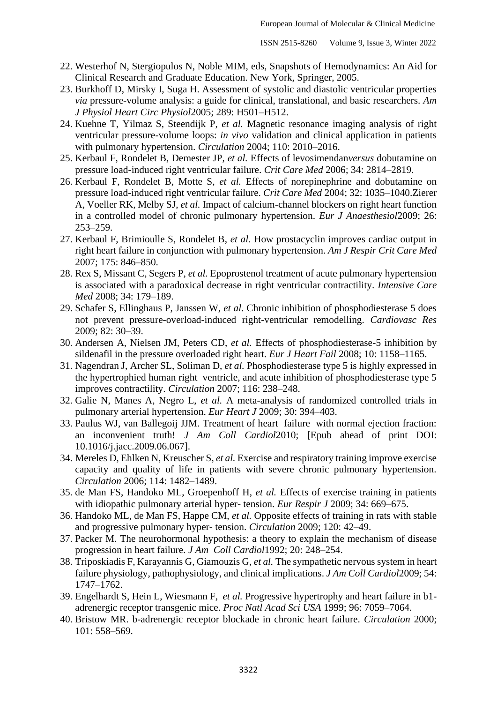- 22. Westerhof N, Stergiopulos N, Noble MIM, eds, Snapshots of Hemodynamics: An Aid for Clinical Research and Graduate Education. New York, Springer, 2005.
- 23. Burkhoff D, Mirsky I, Suga H. Assessment of systolic and diastolic ventricular properties *via* pressure-volume analysis: a guide for clinical, translational, and basic researchers. *Am J Physiol Heart Circ Physiol*2005; 289: H501–H512.
- 24. Kuehne T, Yilmaz S, Steendijk P, *et al.* Magnetic resonance imaging analysis of right ventricular pressure-volume loops: *in vivo* validation and clinical application in patients with pulmonary hypertension. *Circulation* 2004; 110: 2010–2016.
- 25. Kerbaul F, Rondelet B, Demester JP, *et al.* Effects of levosimendan*versus* dobutamine on pressure load-induced right ventricular failure. *Crit Care Med* 2006; 34: 2814–2819.
- 26. Kerbaul F, Rondelet B, Motte S, *et al.* Effects of norepinephrine and dobutamine on pressure load-induced right ventricular failure. *Crit Care Med* 2004; 32: 1035–1040.Zierer A, Voeller RK, Melby SJ, *et al.* Impact of calcium-channel blockers on right heart function in a controlled model of chronic pulmonary hypertension. *Eur J Anaesthesiol*2009; 26: 253–259.
- 27. Kerbaul F, Brimioulle S, Rondelet B, *et al.* How prostacyclin improves cardiac output in right heart failure in conjunction with pulmonary hypertension. *Am J Respir Crit Care Med*  2007; 175: 846–850.
- 28. Rex S, Missant C, Segers P, *et al.* Epoprostenol treatment of acute pulmonary hypertension is associated with a paradoxical decrease in right ventricular contractility. *Intensive Care Med* 2008; 34: 179–189.
- 29. Schafer S, Ellinghaus P, Janssen W, *et al.* Chronic inhibition of phosphodiesterase 5 does not prevent pressure-overload-induced right-ventricular remodelling. *Cardiovasc Res*  2009; 82: 30–39.
- 30. Andersen A, Nielsen JM, Peters CD, *et al.* Effects of phosphodiesterase-5 inhibition by sildenafil in the pressure overloaded right heart. *Eur J Heart Fail* 2008; 10: 1158–1165.
- 31. Nagendran J, Archer SL, Soliman D, *et al.* Phosphodiesterase type 5 is highly expressed in the hypertrophied human right ventricle, and acute inhibition of phosphodiesterase type 5 improves contractility. *Circulation* 2007; 116: 238–248.
- 32. Galie N, Manes A, Negro L, *et al.* A meta-analysis of randomized controlled trials in pulmonary arterial hypertension. *Eur Heart J* 2009; 30: 394–403.
- 33. Paulus WJ, van Ballegoij JJM. Treatment of heart failure with normal ejection fraction: an inconvenient truth! *J Am Coll Cardiol*2010; [Epub ahead of print DOI: 10.1016/j.jacc.2009.06.067].
- 34. Mereles D, Ehlken N, Kreuscher S, *et al.* Exercise and respiratory training improve exercise capacity and quality of life in patients with severe chronic pulmonary hypertension. *Circulation* 2006; 114: 1482–1489.
- 35. de Man FS, Handoko ML, Groepenhoff H, *et al.* Effects of exercise training in patients with idiopathic pulmonary arterial hyper- tension. *Eur Respir J* 2009; 34: 669–675.
- 36. Handoko ML, de Man FS, Happe CM, *et al.* Opposite effects of training in rats with stable and progressive pulmonary hyper- tension. *Circulation* 2009; 120: 42–49.
- 37. Packer M. The neurohormonal hypothesis: a theory to explain the mechanism of disease progression in heart failure. *J Am Coll Cardiol*1992; 20: 248–254.
- 38. Triposkiadis F, Karayannis G, Giamouzis G, *et al.* The sympathetic nervous system in heart failure physiology, pathophysiology, and clinical implications. *J Am Coll Cardiol*2009; 54: 1747–1762.
- 39. Engelhardt S, Hein L, Wiesmann F, *et al.* Progressive hypertrophy and heart failure in b1 adrenergic receptor transgenic mice. *Proc Natl Acad Sci USA* 1999; 96: 7059–7064.
- 40. Bristow MR. b-adrenergic receptor blockade in chronic heart failure. *Circulation* 2000; 101: 558–569.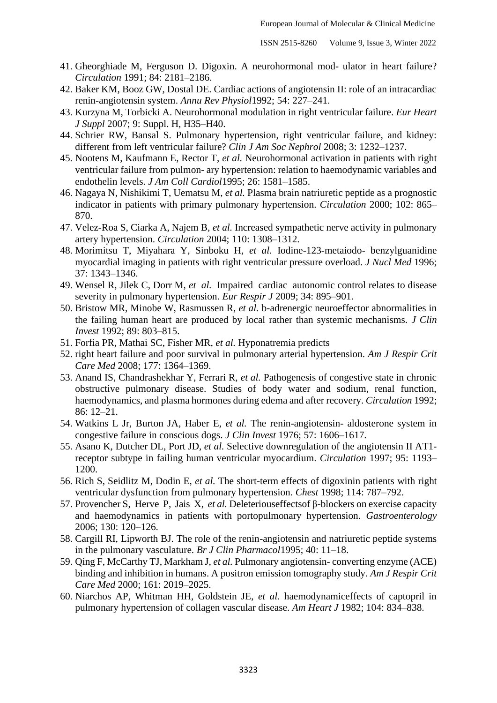- 41. Gheorghiade M, Ferguson D. Digoxin. A neurohormonal mod- ulator in heart failure? *Circulation* 1991; 84: 2181–2186.
- 42. Baker KM, Booz GW, Dostal DE. Cardiac actions of angiotensin II: role of an intracardiac renin-angiotensin system. *Annu Rev Physiol*1992; 54: 227–241.
- 43. Kurzyna M, Torbicki A. Neurohormonal modulation in right ventricular failure. *Eur Heart J Suppl* 2007; 9: Suppl. H, H35–H40.
- 44. Schrier RW, Bansal S. Pulmonary hypertension, right ventricular failure, and kidney: different from left ventricular failure? *Clin J Am Soc Nephrol* 2008; 3: 1232–1237.
- 45. Nootens M, Kaufmann E, Rector T, *et al.* Neurohormonal activation in patients with right ventricular failure from pulmon- ary hypertension: relation to haemodynamic variables and endothelin levels. *J Am Coll Cardiol*1995; 26: 1581–1585.
- 46. Nagaya N, Nishikimi T, Uematsu M, *et al.* Plasma brain natriuretic peptide as a prognostic indicator in patients with primary pulmonary hypertension. *Circulation* 2000; 102: 865– 870.
- 47. Velez-Roa S, Ciarka A, Najem B, *et al.* Increased sympathetic nerve activity in pulmonary artery hypertension. *Circulation* 2004; 110: 1308–1312.
- 48. Morimitsu T, Miyahara Y, Sinboku H, *et al.* Iodine-123-metaiodo- benzylguanidine myocardial imaging in patients with right ventricular pressure overload. *J Nucl Med* 1996; 37: 1343–1346.
- 49. Wensel R, Jilek C, Dorr M, *et al.* Impaired cardiac autonomic control relates to disease severity in pulmonary hypertension. *Eur Respir J* 2009; 34: 895–901.
- 50. Bristow MR, Minobe W, Rasmussen R, *et al.* b-adrenergic neuroeffector abnormalities in the failing human heart are produced by local rather than systemic mechanisms. *J Clin Invest* 1992; 89: 803–815.
- 51. Forfia PR, Mathai SC, Fisher MR, *et al.* Hyponatremia predicts
- 52. right heart failure and poor survival in pulmonary arterial hypertension. *Am J Respir Crit Care Med* 2008; 177: 1364–1369.
- 53. Anand IS, Chandrashekhar Y, Ferrari R, *et al.* Pathogenesis of congestive state in chronic obstructive pulmonary disease. Studies of body water and sodium, renal function, haemodynamics, and plasma hormones during edema and after recovery. *Circulation* 1992; 86: 12–21.
- 54. Watkins L Jr, Burton JA, Haber E, *et al.* The renin-angiotensin- aldosterone system in congestive failure in conscious dogs. *J Clin Invest* 1976; 57: 1606–1617.
- 55. Asano K, Dutcher DL, Port JD, *et al.* Selective downregulation of the angiotensin II AT1 receptor subtype in failing human ventricular myocardium. *Circulation* 1997; 95: 1193– 1200.
- 56. Rich S, Seidlitz M, Dodin E, *et al.* The short-term effects of digoxinin patients with right ventricular dysfunction from pulmonary hypertension. *Chest* 1998; 114: 787–792.
- 57. Provencher S, Herve P, Jais X, *et al.* Deleteriouseffectsof β-blockers on exercise capacity and haemodynamics in patients with portopulmonary hypertension. *Gastroenterology*  2006; 130: 120–126.
- 58. Cargill RI, Lipworth BJ. The role of the renin-angiotensin and natriuretic peptide systems in the pulmonary vasculature. *Br J Clin Pharmacol*1995; 40: 11–18.
- 59. Qing F, McCarthy TJ, Markham J, *et al.* Pulmonary angiotensin- converting enzyme (ACE) binding and inhibition in humans. A positron emission tomography study. *Am J Respir Crit Care Med* 2000; 161: 2019–2025.
- 60. Niarchos AP, Whitman HH, Goldstein JE, *et al.* haemodynamiceffects of captopril in pulmonary hypertension of collagen vascular disease. *Am Heart J* 1982; 104: 834–838.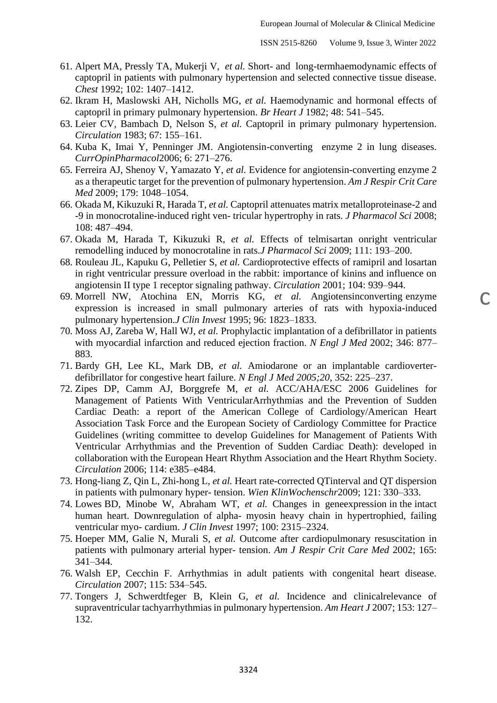c

- 61. Alpert MA, Pressly TA, Mukerji V, *et al.* Short- and long-termhaemodynamic effects of captopril in patients with pulmonary hypertension and selected connective tissue disease. *Chest* 1992; 102: 1407–1412.
- 62. Ikram H, Maslowski AH, Nicholls MG, *et al.* Haemodynamic and hormonal effects of captopril in primary pulmonary hypertension. *Br Heart J* 1982; 48: 541–545.
- 63. Leier CV, Bambach D, Nelson S, *et al.* Captopril in primary pulmonary hypertension. *Circulation* 1983; 67: 155–161.
- 64. Kuba K, Imai Y, Penninger JM. Angiotensin-converting enzyme 2 in lung diseases. *CurrOpinPharmacol*2006; 6: 271–276.
- 65. Ferreira AJ, Shenoy V, Yamazato Y, *et al.* Evidence for angiotensin-converting enzyme 2 as a therapeutic target for the prevention of pulmonary hypertension. *Am J Respir Crit Care Med* 2009; 179: 1048–1054.
- 66. Okada M, Kikuzuki R, Harada T, *et al.* Captopril attenuates matrix metalloproteinase-2 and -9 in monocrotaline-induced right ven- tricular hypertrophy in rats. *J Pharmacol Sci* 2008; 108: 487–494.
- 67. Okada M, Harada T, Kikuzuki R, *et al.* Effects of telmisartan onright ventricular remodelling induced by monocrotaline in rats.*J Pharmacol Sci* 2009; 111: 193–200.
- 68. Rouleau JL, Kapuku G, Pelletier S, *et al.* Cardioprotective effects of ramipril and losartan in right ventricular pressure overload in the rabbit: importance of kinins and influence on angiotensin II type 1 receptor signaling pathway. *Circulation* 2001; 104: 939–944.
- 69. Morrell NW, Atochina EN, Morris KG, *et al.* Angiotensinconverting enzyme expression is increased in small pulmonary arteries of rats with hypoxia-induced pulmonary hypertension.*J Clin Invest* 1995; 96: 1823–1833.
- 70. Moss AJ, Zareba W, Hall WJ, *et al.* Prophylactic implantation of a defibrillator in patients with myocardial infarction and reduced ejection fraction. *N Engl J Med* 2002; 346: 877– 883.
- 71. Bardy GH, Lee KL, Mark DB, *et al.* Amiodarone or an implantable cardioverterdefibrillator for congestive heart failure. *N Engl J Med 2005;20*, 352: 225–237.
- 72. Zipes DP, Camm AJ, Borggrefe M, *et al.* ACC/AHA/ESC 2006 Guidelines for Management of Patients With VentricularArrhythmias and the Prevention of Sudden Cardiac Death: a report of the American College of Cardiology/American Heart Association Task Force and the European Society of Cardiology Committee for Practice Guidelines (writing committee to develop Guidelines for Management of Patients With Ventricular Arrhythmias and the Prevention of Sudden Cardiac Death): developed in collaboration with the European Heart Rhythm Association and the Heart Rhythm Society. *Circulation* 2006; 114: e385–e484.
- 73. Hong-liang Z, Qin L, Zhi-hong L, *et al.* Heart rate-corrected QTinterval and QT dispersion in patients with pulmonary hyper- tension. *Wien KlinWochenschr*2009; 121: 330–333.
- 74. Lowes BD, Minobe W, Abraham WT, *et al.* Changes in geneexpression in the intact human heart. Downregulation of alpha- myosin heavy chain in hypertrophied, failing ventricular myo- cardium. *J Clin Invest* 1997; 100: 2315–2324.
- 75. Hoeper MM, Galie N, Murali S, *et al.* Outcome after cardiopulmonary resuscitation in patients with pulmonary arterial hyper- tension. *Am J Respir Crit Care Med* 2002; 165: 341–344.
- 76. Walsh EP, Cecchin F. Arrhythmias in adult patients with congenital heart disease. *Circulation* 2007; 115: 534–545.
- 77. Tongers J, Schwerdtfeger B, Klein G, *et al.* Incidence and clinicalrelevance of supraventricular tachyarrhythmias in pulmonary hypertension. *Am Heart J* 2007; 153: 127– 132.